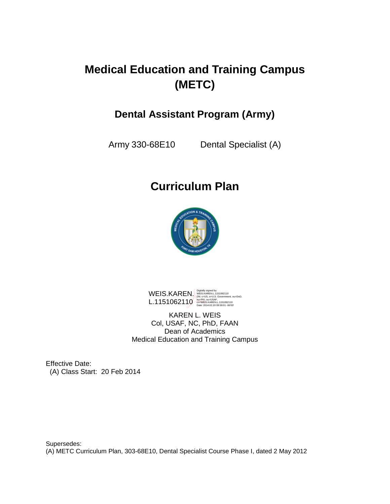# **Medical Education and Training Campus (METC)**

# **Dental Assistant Program (Army)**

Army 330-68E10 Dental Specialist (A)

# **Curriculum Plan**



WEIS.KAREN. L.1151062110 Digitally signed by<br>WEIS.KAREN.L.1151062110<br>DN: c=US, o=U.S. Government, ou=DoD,<br>ou=PKI, ou=USAF,<br>cn=WEIS.KAREN.L.1151062110<br>Date: 2014.02.20 09:59:01 -06'00'

KAREN L. WEIS Col, USAF, NC, PhD, FAAN Dean of Academics Medical Education and Training Campus

Effective Date: (A) Class Start: 20 Feb 2014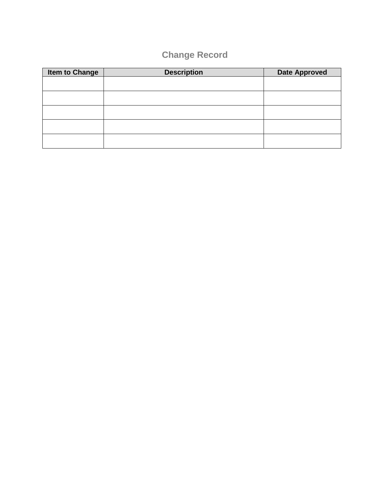# **Change Record**

| <b>Item to Change</b> | <b>Description</b> | <b>Date Approved</b> |
|-----------------------|--------------------|----------------------|
|                       |                    |                      |
|                       |                    |                      |
|                       |                    |                      |
|                       |                    |                      |
|                       |                    |                      |
|                       |                    |                      |
|                       |                    |                      |
|                       |                    |                      |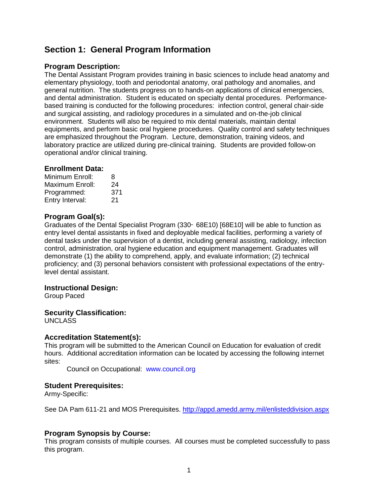## **Section 1: General Program Information**

### **Program Description:**

The Dental Assistant Program provides training in basic sciences to include head anatomy and elementary physiology, tooth and periodontal anatomy, oral pathology and anomalies, and general nutrition. The students progress on to hands-on applications of clinical emergencies, and dental administration. Student is educated on specialty dental procedures. Performancebased training is conducted for the following procedures: infection control, general chair-side and surgical assisting, and radiology procedures in a simulated and on-the-job clinical environment. Students will also be required to mix dental materials, maintain dental equipments, and perform basic oral hygiene procedures. Quality control and safety techniques are emphasized throughout the Program. Lecture, demonstration, training videos, and laboratory practice are utilized during pre-clinical training. Students are provided follow-on operational and/or clinical training.

### **Enrollment Data:**

| Minimum Enroll: | 8   |
|-----------------|-----|
| Maximum Enroll: | 24  |
| Programmed:     | 371 |
| Entry Interval: | 21  |

### **Program Goal(s):**

Graduates of the Dental Specialist Program (330‑ 68E10) [68E10] will be able to function as entry level dental assistants in fixed and deployable medical facilities, performing a variety of dental tasks under the supervision of a dentist, including general assisting, radiology, infection control, administration, oral hygiene education and equipment management. Graduates will demonstrate (1) the ability to comprehend, apply, and evaluate information; (2) technical proficiency; and (3) personal behaviors consistent with professional expectations of the entrylevel dental assistant.

### **Instructional Design:**

Group Paced

### **Security Classification:**

UNCLASS

### **Accreditation Statement(s):**

This program will be submitted to the American Council on Education for evaluation of credit hours. Additional accreditation information can be located by accessing the following internet sites:

Council on Occupational: www.council.org

### **Student Prerequisites:**

Army-Specific:

See DA Pam 611-21 and MOS Prerequisites.<http://appd.amedd.army.mil/enlisteddivision.aspx>

### **Program Synopsis by Course:**

This program consists of multiple courses. All courses must be completed successfully to pass this program.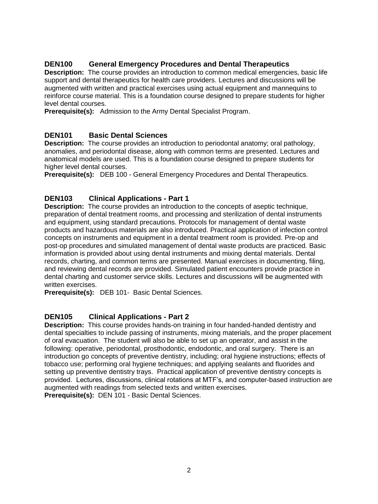### **DEN100 General Emergency Procedures and Dental Therapeutics**

**Description:** The course provides an introduction to common medical emergencies, basic life support and dental therapeutics for health care providers. Lectures and discussions will be augmented with written and practical exercises using actual equipment and mannequins to reinforce course material. This is a foundation course designed to prepare students for higher level dental courses.

**Prerequisite(s):** Admission to the Army Dental Specialist Program.

### **DEN101 Basic Dental Sciences**

**Description:** The course provides an introduction to periodontal anatomy; oral pathology, anomalies, and periodontal disease, along with common terms are presented. Lectures and anatomical models are used. This is a foundation course designed to prepare students for higher level dental courses.

**Prerequisite(s):** DEB 100 - General Emergency Procedures and Dental Therapeutics.

### **DEN103 Clinical Applications - Part 1**

**Description:** The course provides an introduction to the concepts of aseptic technique, preparation of dental treatment rooms, and processing and sterilization of dental instruments and equipment, using standard precautions. Protocols for management of dental waste products and hazardous materials are also introduced. Practical application of infection control concepts on instruments and equipment in a dental treatment room is provided. Pre-op and post-op procedures and simulated management of dental waste products are practiced. Basic information is provided about using dental instruments and mixing dental materials. Dental records, charting, and common terms are presented. Manual exercises in documenting, filing, and reviewing dental records are provided. Simulated patient encounters provide practice in dental charting and customer service skills. Lectures and discussions will be augmented with written exercises.

**Prerequisite(s):** DEB 101- Basic Dental Sciences.

### **DEN105 Clinical Applications - Part 2**

**Description:** This course provides hands-on training in four handed-handed dentistry and dental specialties to include passing of instruments, mixing materials, and the proper placement of oral evacuation. The student will also be able to set up an operator, and assist in the following: operative, periodontal, prosthodontic, endodontic, and oral surgery. There is an introduction go concepts of preventive dentistry, including; oral hygiene instructions; effects of tobacco use; performing oral hygiene techniques; and applying sealants and fluorides and setting up preventive dentistry trays. Practical application of preventive dentistry concepts is provided. Lectures, discussions, clinical rotations at MTF's, and computer-based instruction are augmented with readings from selected texts and written exercises. **Prerequisite(s):** DEN 101 - Basic Dental Sciences.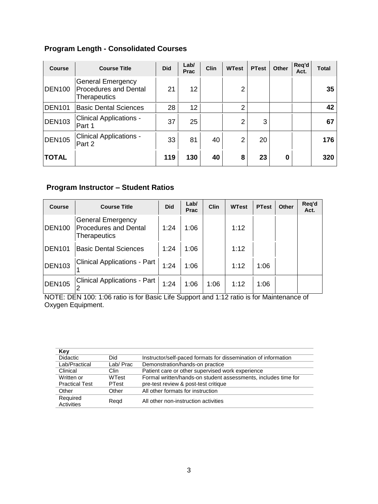### **Program Length - Consolidated Courses**

| <b>Course</b> | <b>Course Title</b>                                                      | <b>Did</b> | Lab/<br>Prac    | <b>Clin</b> | <b>WTest</b>   | <b>PTest</b> | <b>Other</b> | Req'd<br>Act. | <b>Total</b> |
|---------------|--------------------------------------------------------------------------|------------|-----------------|-------------|----------------|--------------|--------------|---------------|--------------|
| <b>DEN100</b> | <b>General Emergency</b><br><b>Procedures and Dental</b><br>Therapeutics | 21         | 12 <sup>2</sup> |             | 2              |              |              |               | 35           |
| <b>DEN101</b> | <b>Basic Dental Sciences</b>                                             | 28         | 12 <sub>2</sub> |             | $\overline{2}$ |              |              |               | 42           |
| <b>DEN103</b> | <b>Clinical Applications -</b><br>Part 1                                 | 37         | 25              |             | 2              | 3            |              |               | 67           |
| <b>DEN105</b> | <b>Clinical Applications -</b><br>Part 2                                 | 33         | 81              | 40          | $\overline{2}$ | 20           |              |               | 176          |
| <b>TOTAL</b>  |                                                                          | 119        | 130             | 40          | 8              | 23           | 0            |               | 320          |

### **Program Instructor – Student Ratios**

| <b>Course</b> | <b>Course Title</b>                                                             | <b>Did</b> | Lab/<br><b>Prac</b> | <b>Clin</b> | <b>WTest</b> | <b>PTest</b> | Other | Reg'd<br>Act. |
|---------------|---------------------------------------------------------------------------------|------------|---------------------|-------------|--------------|--------------|-------|---------------|
| <b>DEN100</b> | <b>General Emergency</b><br><b>Procedures and Dental</b><br><b>Therapeutics</b> | 1:24       | 1:06                |             | 1:12         |              |       |               |
| <b>DEN101</b> | <b>Basic Dental Sciences</b>                                                    | 1:24       | 1:06                |             | 1:12         |              |       |               |
| <b>DEN103</b> | Clinical Applications - Part                                                    | 1:24       | 1:06                |             | 1:12         | 1:06         |       |               |
| <b>DEN105</b> | <b>Clinical Applications - Part</b>                                             | 1:24       | 1:06                | 1:06        | 1:12         | 1:06         |       |               |

NOTE: DEN 100: 1:06 ratio is for Basic Life Support and 1:12 ratio is for Maintenance of Oxygen Equipment.

| Key                    |          |                                                                |
|------------------------|----------|----------------------------------------------------------------|
| <b>Didactic</b>        | Did      | Instructor/self-paced formats for dissemination of information |
| Lab/Practical          | Lab/Prac | Demonstration/hands-on practice                                |
| Clinical               | Clin     | Patient care or other supervised work experience               |
| Written or             | WTest    | Formal written/hands-on student assessments, includes time for |
| <b>Practical Test</b>  | PTest    | pre-test review & post-test critique                           |
| Other                  | Other    | All other formats for instruction                              |
| Required<br>Activities | Regd     | All other non-instruction activities                           |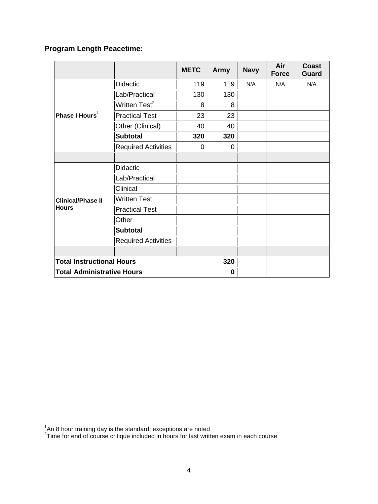# **Program Length Peacetime:**

|                                                                       |                                                                                                                                                                                                                                                                                                                                                                                                                           | <b>METC</b> | <b>Army</b> | <b>Navy</b> | Air<br><b>Force</b> | <b>Coast</b><br><b>Guard</b> |
|-----------------------------------------------------------------------|---------------------------------------------------------------------------------------------------------------------------------------------------------------------------------------------------------------------------------------------------------------------------------------------------------------------------------------------------------------------------------------------------------------------------|-------------|-------------|-------------|---------------------|------------------------------|
|                                                                       | <b>Didactic</b><br>119<br>119<br>N/A<br>Lab/Practical<br>130<br>130<br>Written Test <sup>2</sup><br>8<br>8<br><b>Practical Test</b><br>23<br>23<br>Other (Clinical)<br>40<br>40<br><b>Subtotal</b><br>320<br>320<br><b>Required Activities</b><br>0<br>0<br><b>Didactic</b><br>Lab/Practical<br>Clinical<br><b>Written Test</b><br><b>Practical Test</b><br>Other<br><b>Subtotal</b><br><b>Required Activities</b><br>320 | N/A         | N/A         |             |                     |                              |
|                                                                       |                                                                                                                                                                                                                                                                                                                                                                                                                           |             |             |             |                     |                              |
| <b>Total Instructional Hours</b><br><b>Total Administrative Hours</b> |                                                                                                                                                                                                                                                                                                                                                                                                                           |             |             |             |                     |                              |
| Phase I Hours <sup>1</sup>                                            |                                                                                                                                                                                                                                                                                                                                                                                                                           |             |             |             |                     |                              |
|                                                                       |                                                                                                                                                                                                                                                                                                                                                                                                                           |             |             |             |                     |                              |
|                                                                       |                                                                                                                                                                                                                                                                                                                                                                                                                           |             |             |             |                     |                              |
|                                                                       |                                                                                                                                                                                                                                                                                                                                                                                                                           |             |             |             |                     |                              |
|                                                                       |                                                                                                                                                                                                                                                                                                                                                                                                                           |             |             |             |                     |                              |
|                                                                       |                                                                                                                                                                                                                                                                                                                                                                                                                           |             |             |             |                     |                              |
|                                                                       |                                                                                                                                                                                                                                                                                                                                                                                                                           |             |             |             |                     |                              |
|                                                                       |                                                                                                                                                                                                                                                                                                                                                                                                                           |             |             |             |                     |                              |
| <b>Clinical/Phase II</b>                                              |                                                                                                                                                                                                                                                                                                                                                                                                                           |             |             |             |                     |                              |
| <b>Hours</b>                                                          |                                                                                                                                                                                                                                                                                                                                                                                                                           |             |             |             |                     |                              |
|                                                                       |                                                                                                                                                                                                                                                                                                                                                                                                                           |             |             |             |                     |                              |
|                                                                       |                                                                                                                                                                                                                                                                                                                                                                                                                           |             |             |             |                     |                              |
|                                                                       |                                                                                                                                                                                                                                                                                                                                                                                                                           |             |             |             |                     |                              |
|                                                                       |                                                                                                                                                                                                                                                                                                                                                                                                                           |             |             |             |                     |                              |
|                                                                       |                                                                                                                                                                                                                                                                                                                                                                                                                           |             |             |             |                     |                              |
|                                                                       |                                                                                                                                                                                                                                                                                                                                                                                                                           |             | 0           |             |                     |                              |

 $^{\rm 1}$ An 8 hour training day is the standard; exceptions are noted<br><sup>2</sup>Time for end of course critique included in hours for last written exam in each course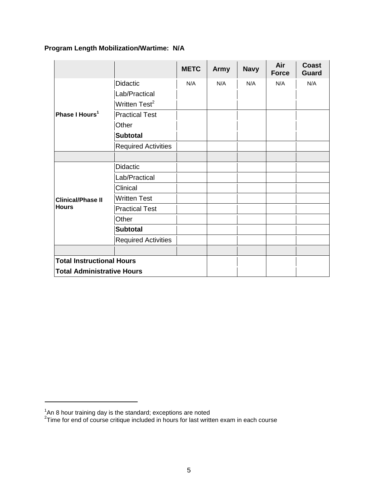### **Program Length Mobilization/Wartime: N/A**

|                                   |                                                                                 | <b>METC</b> | <b>Army</b> | <b>Navy</b> | Air<br><b>Force</b> | <b>Coast</b><br><b>Guard</b> |
|-----------------------------------|---------------------------------------------------------------------------------|-------------|-------------|-------------|---------------------|------------------------------|
|                                   | <b>Didactic</b>                                                                 | N/A         | N/A         | N/A         | N/A                 | N/A                          |
|                                   | Lab/Practical                                                                   |             |             |             |                     |                              |
|                                   | Written Test <sup>2</sup>                                                       |             |             |             |                     |                              |
| Phase I Hours <sup>1</sup>        | <b>Practical Test</b>                                                           |             |             |             |                     |                              |
|                                   | Other                                                                           |             |             |             |                     |                              |
|                                   | <b>Subtotal</b>                                                                 |             |             |             |                     |                              |
|                                   | <b>Required Activities</b>                                                      |             |             |             |                     |                              |
|                                   |                                                                                 |             |             |             |                     |                              |
|                                   | <b>Didactic</b>                                                                 |             |             |             |                     |                              |
|                                   | Lab/Practical                                                                   |             |             |             |                     |                              |
|                                   | Clinical                                                                        |             |             |             |                     |                              |
| <b>Clinical/Phase II</b>          | <b>Written Test</b>                                                             |             |             |             |                     |                              |
| <b>Hours</b>                      | <b>Practical Test</b><br>Other<br><b>Subtotal</b><br><b>Required Activities</b> |             |             |             |                     |                              |
|                                   |                                                                                 |             |             |             |                     |                              |
|                                   |                                                                                 |             |             |             |                     |                              |
|                                   |                                                                                 |             |             |             |                     |                              |
|                                   |                                                                                 |             |             |             |                     |                              |
| <b>Total Instructional Hours</b>  |                                                                                 |             |             |             |                     |                              |
| <b>Total Administrative Hours</b> |                                                                                 |             |             |             |                     |                              |

 $^{\rm 1}$ An 8 hour training day is the standard; exceptions are noted<br> $^{\rm 2}$ Time for end of course critique included in hours for last written exam in each course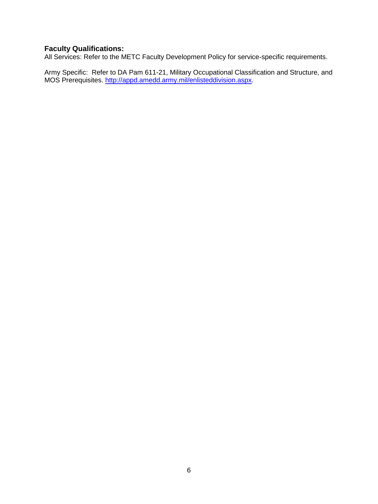### **Faculty Qualifications:**

All Services: Refer to the METC Faculty Development Policy for service-specific requirements.

Army Specific: Refer to DA Pam 611-21, Military Occupational Classification and Structure, and MOS Prerequisites. [http://appd.amedd.army.mil/enlisteddivision.aspx.](http://appd.amedd.army.mil/enlisteddivision.aspx)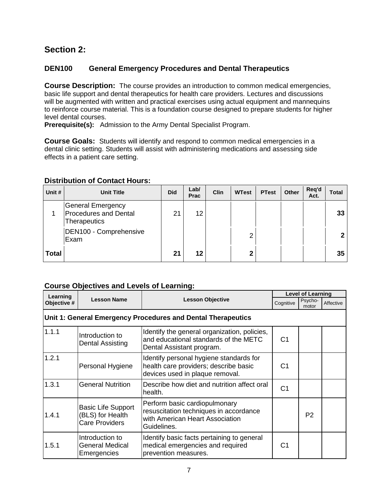### **Section 2:**

### **DEN100 General Emergency Procedures and Dental Therapeutics**

**Course Description:** The course provides an introduction to common medical emergencies, basic life support and dental therapeutics for health care providers. Lectures and discussions will be augmented with written and practical exercises using actual equipment and mannequins to reinforce course material. This is a foundation course designed to prepare students for higher level dental courses.

**Prerequisite(s):** Admission to the Army Dental Specialist Program.

**Course Goals:** Students will identify and respond to common medical emergencies in a dental clinic setting. Students will assist with administering medications and assessing side effects in a patient care setting.

### **Distribution of Contact Hours:**

| Unit #       | <b>Unit Title</b>                                                 | <b>Did</b>     | Lab/<br>Prac | Clin | <b>WTest</b> | <b>PTest</b> | Other | Req'd<br>Act. | Total |
|--------------|-------------------------------------------------------------------|----------------|--------------|------|--------------|--------------|-------|---------------|-------|
|              | General Emergency<br><b>Procedures and Dental</b><br>Therapeutics | 2 <sup>1</sup> | 12           |      |              |              |       |               | 33    |
|              | DEN100 - Comprehensive<br>Exam                                    |                |              |      | っ            |              |       |               | 2     |
| <b>Total</b> |                                                                   | 21             | 12           |      | ◠            |              |       |               | 35    |

| Learning    |                                                                        |                                                                                                                           |                | <b>Level of Learning</b> |           |
|-------------|------------------------------------------------------------------------|---------------------------------------------------------------------------------------------------------------------------|----------------|--------------------------|-----------|
| Objective # | <b>Lesson Name</b>                                                     | <b>Lesson Objective</b>                                                                                                   | Cognitive      | Psycho-<br>motor         | Affective |
|             |                                                                        | Unit 1: General Emergency Procedures and Dental Therapeutics                                                              |                |                          |           |
| 1.1.1       | Introduction to<br><b>Dental Assisting</b>                             | Identify the general organization, policies,<br>and educational standards of the METC<br>Dental Assistant program.        | C <sub>1</sub> |                          |           |
| 1.2.1       | Personal Hygiene                                                       | Identify personal hygiene standards for<br>health care providers; describe basic<br>devices used in plaque removal.       | C1             |                          |           |
| 1.3.1       | <b>General Nutrition</b>                                               | Describe how diet and nutrition affect oral<br>health.                                                                    | C <sub>1</sub> |                          |           |
| 1.4.1       | <b>Basic Life Support</b><br>(BLS) for Health<br><b>Care Providers</b> | Perform basic cardiopulmonary<br>resuscitation techniques in accordance<br>with American Heart Association<br>Guidelines. |                | P <sub>2</sub>           |           |
| 1.5.1       | Introduction to<br><b>General Medical</b><br>Emergencies               | Identify basic facts pertaining to general<br>medical emergencies and required<br>prevention measures.                    | C1             |                          |           |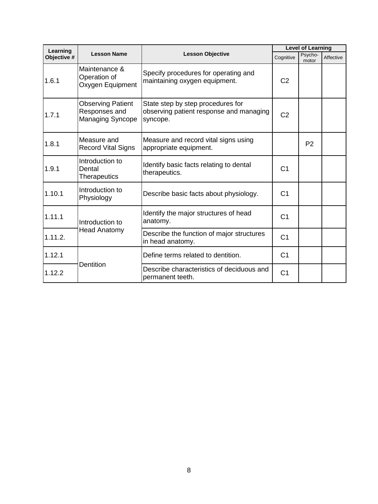| Learning    |                                                                      |                                                                                          |                | <b>Level of Learning</b> |           |
|-------------|----------------------------------------------------------------------|------------------------------------------------------------------------------------------|----------------|--------------------------|-----------|
| Objective # | <b>Lesson Name</b>                                                   | <b>Lesson Objective</b>                                                                  | Cognitive      | Psycho-<br>motor         | Affective |
| 1.6.1       | Maintenance &<br>Operation of<br>Oxygen Equipment                    | Specify procedures for operating and<br>maintaining oxygen equipment.                    | C <sub>2</sub> |                          |           |
| 1.7.1       | <b>Observing Patient</b><br>Responses and<br><b>Managing Syncope</b> | State step by step procedures for<br>observing patient response and managing<br>syncope. | C <sub>2</sub> |                          |           |
| 1.8.1       | Measure and<br><b>Record Vital Signs</b>                             | Measure and record vital signs using<br>appropriate equipment.                           |                | P <sub>2</sub>           |           |
| 1.9.1       | Introduction to<br>Dental<br><b>Therapeutics</b>                     | Identify basic facts relating to dental<br>therapeutics.                                 | C <sub>1</sub> |                          |           |
| 1.10.1      | Introduction to<br>Physiology                                        | Describe basic facts about physiology.                                                   | C <sub>1</sub> |                          |           |
| 1.11.1      | Introduction to                                                      | Identify the major structures of head<br>anatomy.                                        | C <sub>1</sub> |                          |           |
| 1.11.2.     | <b>Head Anatomy</b>                                                  | Describe the function of major structures<br>in head anatomy.                            | C <sub>1</sub> |                          |           |
| 1.12.1      |                                                                      | Define terms related to dentition.                                                       | C <sub>1</sub> |                          |           |
| 1.12.2      | <b>Dentition</b>                                                     | Describe characteristics of deciduous and<br>permanent teeth.                            | C <sub>1</sub> |                          |           |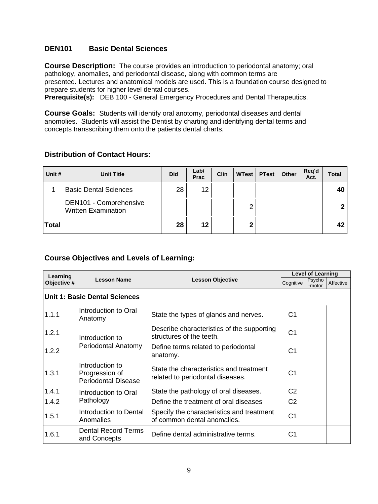### **DEN101 Basic Dental Sciences**

**Course Description:** The course provides an introduction to periodontal anatomy; oral pathology, anomalies, and periodontal disease, along with common terms are presented. Lectures and anatomical models are used. This is a foundation course designed to prepare students for higher level dental courses.

**Prerequisite(s):** DEB 100 - General Emergency Procedures and Dental Therapeutics.

**Course Goals:** Students will identify oral anotomy, periodontal diseases and dental anomolies. Students will assist the Dentist by charting and identifying dental terms and concepts transscribing them onto the patients dental charts.

### **Distribution of Contact Hours:**

| Unit #       | <b>Unit Title</b>                                    | <b>Did</b> | Lab/<br>Prac | <b>Clin</b> | <b>WTest</b> | <b>PTest</b> | Other | Req'd<br>Act. | Total        |
|--------------|------------------------------------------------------|------------|--------------|-------------|--------------|--------------|-------|---------------|--------------|
|              | <b>Basic Dental Sciences</b>                         | 28         | 12           |             |              |              |       |               | 40           |
|              | DEN101 - Comprehensive<br><b>Written Examination</b> |            |              |             | っ            |              |       |               | $\mathbf{P}$ |
| <b>Total</b> |                                                      | 28         | 12           |             | າ            |              |       |               | 42           |

| Learning    |                                                                 |                                                                             | <b>Level of Learning</b> |                  |           |  |  |
|-------------|-----------------------------------------------------------------|-----------------------------------------------------------------------------|--------------------------|------------------|-----------|--|--|
| Objective # | <b>Lesson Name</b>                                              | <b>Lesson Objective</b>                                                     | Cognitive                | Psycho<br>-motor | Affective |  |  |
|             | <b>Unit 1: Basic Dental Sciences</b>                            |                                                                             |                          |                  |           |  |  |
| 1.1.1       | Introduction to Oral<br>Anatomy                                 | State the types of glands and nerves.                                       | C <sub>1</sub>           |                  |           |  |  |
| 1.2.1       | Introduction to                                                 | Describe characteristics of the supporting<br>structures of the teeth.      | C <sub>1</sub>           |                  |           |  |  |
| 1.2.2       | Periodontal Anatomy                                             | Define terms related to periodontal<br>anatomy.                             | C <sub>1</sub>           |                  |           |  |  |
| 1.3.1       | Introduction to<br>Progression of<br><b>Periodontal Disease</b> | State the characteristics and treatment<br>related to periodontal diseases. | C <sub>1</sub>           |                  |           |  |  |
| 1.4.1       | Introduction to Oral                                            | State the pathology of oral diseases.                                       | C <sub>2</sub>           |                  |           |  |  |
| 1.4.2       | Pathology                                                       | Define the treatment of oral diseases                                       | C <sub>2</sub>           |                  |           |  |  |
| 1.5.1       | Introduction to Dental<br>Anomalies                             | Specify the characteristics and treatment<br>of common dental anomalies.    | C <sub>1</sub>           |                  |           |  |  |
| 1.6.1       | <b>Dental Record Terms</b><br>and Concepts                      | Define dental administrative terms.                                         | C <sub>1</sub>           |                  |           |  |  |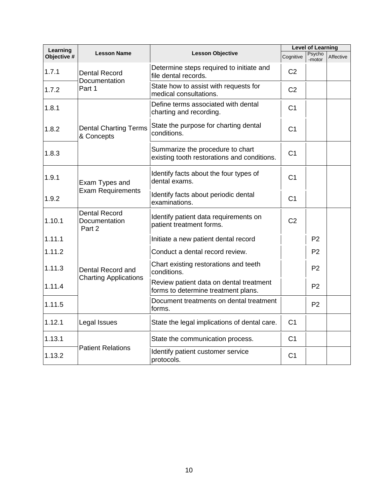| Learning               |                                                 |                                                                                 | <b>Level of Learning</b> |                  |           |
|------------------------|-------------------------------------------------|---------------------------------------------------------------------------------|--------------------------|------------------|-----------|
| Objective <sup>#</sup> | <b>Lesson Name</b>                              | <b>Lesson Objective</b>                                                         | Cognitive                | Psycho<br>-motor | Affective |
| 1.7.1                  | <b>Dental Record</b><br>Documentation           | Determine steps required to initiate and<br>file dental records.                | C <sub>2</sub>           |                  |           |
| 1.7.2                  | Part 1                                          | State how to assist with requests for<br>medical consultations.                 | C <sub>2</sub>           |                  |           |
| 1.8.1                  |                                                 | Define terms associated with dental<br>charting and recording.                  | C <sub>1</sub>           |                  |           |
| 1.8.2                  | <b>Dental Charting Terms</b><br>& Concepts      | State the purpose for charting dental<br>conditions.                            | C <sub>1</sub>           |                  |           |
| 1.8.3                  |                                                 | Summarize the procedure to chart<br>existing tooth restorations and conditions. | C <sub>1</sub>           |                  |           |
| 1.9.1                  | Exam Types and<br><b>Exam Requirements</b>      | Identify facts about the four types of<br>dental exams.                         | C <sub>1</sub>           |                  |           |
| 1.9.2                  |                                                 | Identify facts about periodic dental<br>examinations.                           | C <sub>1</sub>           |                  |           |
| 1.10.1                 | <b>Dental Record</b><br>Documentation<br>Part 2 | Identify patient data requirements on<br>patient treatment forms.               | C <sub>2</sub>           |                  |           |
| 1.11.1                 |                                                 | Initiate a new patient dental record                                            |                          | P <sub>2</sub>   |           |
| 1.11.2                 |                                                 | Conduct a dental record review.                                                 |                          | P <sub>2</sub>   |           |
| 1.11.3                 | Dental Record and                               | Chart existing restorations and teeth<br>conditions.                            |                          | P <sub>2</sub>   |           |
| 1.11.4                 | <b>Charting Applications</b>                    | Review patient data on dental treatment<br>forms to determine treatment plans.  |                          | P <sub>2</sub>   |           |
| 1.11.5                 |                                                 | Document treatments on dental treatment<br>forms.                               |                          | P <sub>2</sub>   |           |
| 1.12.1                 | Legal Issues                                    | State the legal implications of dental care.                                    | C <sub>1</sub>           |                  |           |
| 1.13.1                 |                                                 | State the communication process.                                                | C <sub>1</sub>           |                  |           |
| 1.13.2                 | <b>Patient Relations</b>                        | Identify patient customer service<br>protocols.                                 | C <sub>1</sub>           |                  |           |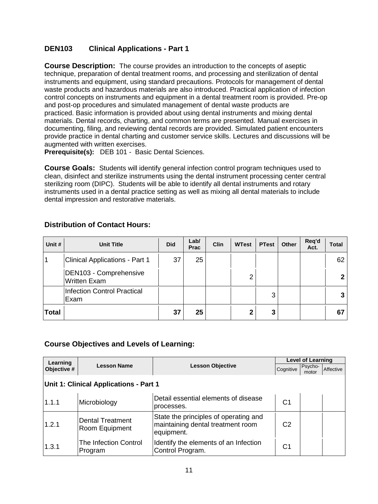### **DEN103 Clinical Applications - Part 1**

**Course Description:** The course provides an introduction to the concepts of aseptic technique, preparation of dental treatment rooms, and processing and sterilization of dental instruments and equipment, using standard precautions. Protocols for management of dental waste products and hazardous materials are also introduced. Practical application of infection control concepts on instruments and equipment in a dental treatment room is provided. Pre-op and post-op procedures and simulated management of dental waste products are practiced. Basic information is provided about using dental instruments and mixing dental materials. Dental records, charting, and common terms are presented. Manual exercises in documenting, filing, and reviewing dental records are provided. Simulated patient encounters provide practice in dental charting and customer service skills. Lectures and discussions will be augmented with written exercises.

**Prerequisite(s):** DEB 101 - Basic Dental Sciences.

**Course Goals:** Students will identify general infection control program techniques used to clean, disinfect and sterilize instruments using the dental instrument processing center central sterilizing room (DIPC). Students will be able to identify all dental instruments and rotary instruments used in a dental practice setting as well as mixing all dental materials to include dental impression and restorative materials.

| Unit #       | <b>Unit Title</b>                             | <b>Did</b> | Lab/<br>Prac | <b>Clin</b> | <b>WTest</b> | <b>PTest</b> | Other | Req'd<br>Act. | <b>Total</b> |
|--------------|-----------------------------------------------|------------|--------------|-------------|--------------|--------------|-------|---------------|--------------|
|              | <b>Clinical Applications - Part 1</b>         | 37         | 25           |             |              |              |       |               | 62           |
|              | DEN103 - Comprehensive<br><b>Written Exam</b> |            |              |             | ⌒            |              |       |               |              |
|              | <b>Infection Control Practical</b><br>Exam    |            |              |             |              | 3            |       |               |              |
| <b>Total</b> |                                               | 37         | 25           |             | ◠            | 3            |       |               | 67           |

| Learning                               |                                           |                                                                                          | <b>Level of Learning</b> |                  |           |  |  |
|----------------------------------------|-------------------------------------------|------------------------------------------------------------------------------------------|--------------------------|------------------|-----------|--|--|
| Objective #                            | <b>Lesson Name</b>                        | <b>Lesson Objective</b>                                                                  | Cognitive                | Psycho-<br>motor | Affective |  |  |
| Unit 1: Clinical Applications - Part 1 |                                           |                                                                                          |                          |                  |           |  |  |
| 1.1.1                                  | Microbiology                              | Detail essential elements of disease<br>processes.                                       | C1                       |                  |           |  |  |
| 1.2.1                                  | <b>Dental Treatment</b><br>Room Equipment | State the principles of operating and<br>maintaining dental treatment room<br>equipment. | C <sub>2</sub>           |                  |           |  |  |
| 1.3.1                                  | The Infection Control<br>Program          | Identify the elements of an Infection<br>Control Program.                                | C1                       |                  |           |  |  |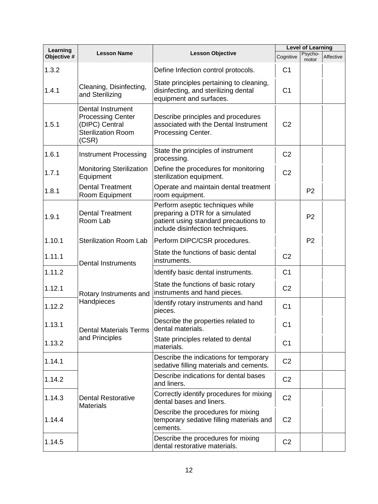| Learning    |                                                                                                       |                                                                                                                                                  | <b>Level of Learning</b> |                  |           |  |
|-------------|-------------------------------------------------------------------------------------------------------|--------------------------------------------------------------------------------------------------------------------------------------------------|--------------------------|------------------|-----------|--|
| Objective # | <b>Lesson Name</b>                                                                                    | <b>Lesson Objective</b>                                                                                                                          | Cognitive                | Psycho-<br>motor | Affective |  |
| 1.3.2       |                                                                                                       | Define Infection control protocols.                                                                                                              | C <sub>1</sub>           |                  |           |  |
| 1.4.1       | Cleaning, Disinfecting,<br>and Sterilizing                                                            | State principles pertaining to cleaning,<br>disinfecting, and sterilizing dental<br>equipment and surfaces.                                      | C <sub>1</sub>           |                  |           |  |
| 1.5.1       | Dental Instrument<br><b>Processing Center</b><br>(DIPC) Central<br><b>Sterilization Room</b><br>(CSR) | Describe principles and procedures<br>associated with the Dental Instrument<br>Processing Center.                                                | C <sub>2</sub>           |                  |           |  |
| 1.6.1       | <b>Instrument Processing</b>                                                                          | State the principles of instrument<br>processing.                                                                                                | C <sub>2</sub>           |                  |           |  |
| 1.7.1       | <b>Monitoring Sterilization</b><br>Equipment                                                          | Define the procedures for monitoring<br>sterilization equipment.                                                                                 | C <sub>2</sub>           |                  |           |  |
| 1.8.1       | <b>Dental Treatment</b><br>Room Equipment                                                             | Operate and maintain dental treatment<br>room equipment.                                                                                         |                          | P <sub>2</sub>   |           |  |
| 1.9.1       | <b>Dental Treatment</b><br>Room Lab                                                                   | Perform aseptic techniques while<br>preparing a DTR for a simulated<br>patient using standard precautions to<br>include disinfection techniques. |                          | P <sub>2</sub>   |           |  |
| 1.10.1      | <b>Sterilization Room Lab</b>                                                                         | Perform DIPC/CSR procedures.                                                                                                                     |                          | P <sub>2</sub>   |           |  |
| 1.11.1      | <b>Dental Instruments</b>                                                                             | State the functions of basic dental<br>instruments.                                                                                              | C <sub>2</sub>           |                  |           |  |
| 1.11.2      |                                                                                                       | Identify basic dental instruments.                                                                                                               | C <sub>1</sub>           |                  |           |  |
| 1.12.1      | Rotary Instruments and                                                                                | State the functions of basic rotary<br>instruments and hand pieces.                                                                              | C <sub>2</sub>           |                  |           |  |
| 1.12.2      | Handpieces                                                                                            | Identify rotary instruments and hand<br>pieces.                                                                                                  | C <sub>1</sub>           |                  |           |  |
| 1.13.1      | <b>Dental Materials Terms</b>                                                                         | Describe the properties related to<br>dental materials.                                                                                          | C <sub>1</sub>           |                  |           |  |
| 1.13.2      | and Principles                                                                                        | State principles related to dental<br>materials.                                                                                                 | C <sub>1</sub>           |                  |           |  |
| 1.14.1      |                                                                                                       | Describe the indications for temporary<br>sedative filling materials and cements.                                                                | C <sub>2</sub>           |                  |           |  |
| 1.14.2      |                                                                                                       | Describe indications for dental bases<br>and liners.                                                                                             | C <sub>2</sub>           |                  |           |  |
| 1.14.3      | <b>Dental Restorative</b><br><b>Materials</b>                                                         | Correctly identify procedures for mixing<br>dental bases and liners.                                                                             | C <sub>2</sub>           |                  |           |  |
| 1.14.4      |                                                                                                       | Describe the procedures for mixing<br>temporary sedative filling materials and<br>cements.                                                       | C <sub>2</sub>           |                  |           |  |
| 1.14.5      |                                                                                                       | Describe the procedures for mixing<br>dental restorative materials.                                                                              | C <sub>2</sub>           |                  |           |  |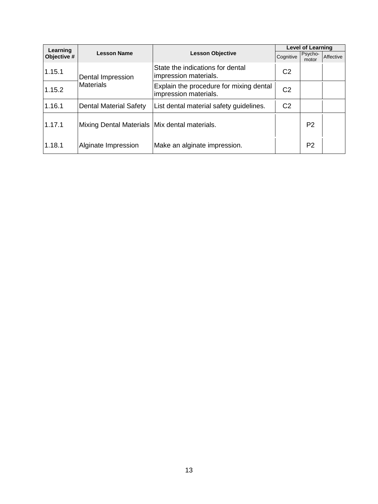| Learning    |                                                 |                                                                  | <b>Level of Learning</b> |                  |           |  |  |
|-------------|-------------------------------------------------|------------------------------------------------------------------|--------------------------|------------------|-----------|--|--|
| Objective # | <b>Lesson Name</b><br><b>Lesson Objective</b>   |                                                                  | Cognitive                | Psycho-<br>motor | Affective |  |  |
| 1.15.1      | Dental Impression<br><b>Materials</b>           | State the indications for dental<br>impression materials.        | C <sub>2</sub>           |                  |           |  |  |
| 1.15.2      |                                                 | Explain the procedure for mixing dental<br>impression materials. | C <sub>2</sub>           |                  |           |  |  |
| 1.16.1      | <b>Dental Material Safety</b>                   | List dental material safety guidelines.                          | C <sub>2</sub>           |                  |           |  |  |
| 1.17.1      | Mixing Dental Materials   Mix dental materials. |                                                                  |                          | P <sub>2</sub>   |           |  |  |
| 1.18.1      | Alginate Impression                             | Make an alginate impression.                                     |                          | P <sub>2</sub>   |           |  |  |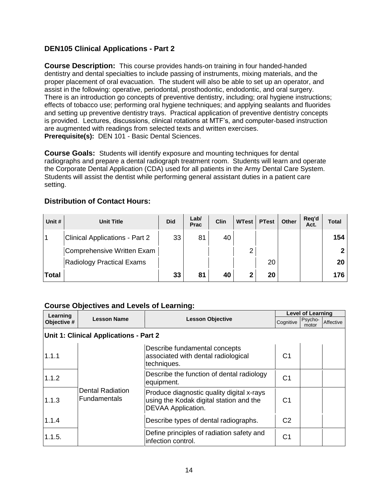### **DEN105 Clinical Applications - Part 2**

**Course Description:** This course provides hands-on training in four handed-handed dentistry and dental specialties to include passing of instruments, mixing materials, and the proper placement of oral evacuation. The student will also be able to set up an operator, and assist in the following: operative, periodontal, prosthodontic, endodontic, and oral surgery. There is an introduction go concepts of preventive dentistry, including; oral hygiene instructions; effects of tobacco use; performing oral hygiene techniques; and applying sealants and fluorides and setting up preventive dentistry trays. Practical application of preventive dentistry concepts is provided. Lectures, discussions, clinical rotations at MTF's, and computer-based instruction are augmented with readings from selected texts and written exercises. **Prerequisite(s):** DEN 101 - Basic Dental Sciences.

**Course Goals:** Students will identify exposure and mounting techniques for dental radiographs and prepare a dental radiograph treatment room. Students will learn and operate the Corporate Dental Application (CDA) used for all patients in the Army Dental Care System. Students will assist the dentist while performing general assistant duties in a patient care setting.

### **Distribution of Contact Hours:**

| Unit #       | <b>Unit Title</b>                     | <b>Did</b> | Lab/<br>Prac | <b>Clin</b> | WTest | <b>PTest</b> | Other | Req'd<br>Act. | <b>Total</b> |
|--------------|---------------------------------------|------------|--------------|-------------|-------|--------------|-------|---------------|--------------|
|              | <b>Clinical Applications - Part 2</b> | 33         | 81           | 40          |       |              |       |               | 154          |
|              | Comprehensive Written Exam            |            |              |             | າ     |              |       |               |              |
|              | <b>Radiology Practical Exams</b>      |            |              |             |       | 20           |       |               | 20           |
| <b>Total</b> |                                       | 33         | 81           | 40          | າ     | 20           |       |               | 176          |

| Learning    |                                                |                                                                                                            | <b>Level of Learning</b> |                  |           |  |  |  |  |
|-------------|------------------------------------------------|------------------------------------------------------------------------------------------------------------|--------------------------|------------------|-----------|--|--|--|--|
| Objective # | <b>Lesson Name</b><br><b>Lesson Objective</b>  |                                                                                                            | Cognitive                | Psycho-<br>motor | Affective |  |  |  |  |
|             | Unit 1: Clinical Applications - Part 2         |                                                                                                            |                          |                  |           |  |  |  |  |
| 1.1.1       | <b>Dental Radiation</b><br><b>Fundamentals</b> | Describe fundamental concepts<br>associated with dental radiological<br>techniques.                        | C <sub>1</sub>           |                  |           |  |  |  |  |
| 1.1.2       |                                                | Describe the function of dental radiology<br>equipment.                                                    | C1                       |                  |           |  |  |  |  |
| 1.1.3       |                                                | Produce diagnostic quality digital x-rays<br>using the Kodak digital station and the<br>DEVAA Application. | C <sub>1</sub>           |                  |           |  |  |  |  |
| 1.1.4       |                                                | Describe types of dental radiographs.                                                                      | C <sub>2</sub>           |                  |           |  |  |  |  |
| 1.1.5.      |                                                | Define principles of radiation safety and<br>infection control.                                            | C1                       |                  |           |  |  |  |  |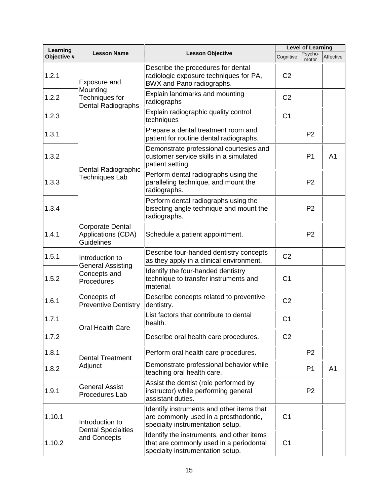| Learning    | <b>Lesson Name</b>                                                 |                                                                                                                          | <b>Level of Learning</b> |                  |                |  |
|-------------|--------------------------------------------------------------------|--------------------------------------------------------------------------------------------------------------------------|--------------------------|------------------|----------------|--|
| Objective # |                                                                    | <b>Lesson Objective</b>                                                                                                  | Cognitive                | Psycho-<br>motor | Affective      |  |
| 1.2.1       | Exposure and                                                       | Describe the procedures for dental<br>radiologic exposure techniques for PA,<br>BWX and Pano radiographs.                | C <sub>2</sub>           |                  |                |  |
| 1.2.2       | Mounting<br>Techniques for<br><b>Dental Radiographs</b>            | Explain landmarks and mounting<br>radiographs                                                                            | C <sub>2</sub>           |                  |                |  |
| 1.2.3       |                                                                    | Explain radiographic quality control<br>techniques                                                                       | C <sub>1</sub>           |                  |                |  |
| 1.3.1       |                                                                    | Prepare a dental treatment room and<br>patient for routine dental radiographs.                                           |                          | P <sub>2</sub>   |                |  |
| 1.3.2       | Dental Radiographic                                                | Demonstrate professional courtesies and<br>customer service skills in a simulated<br>patient setting.                    |                          | P <sub>1</sub>   | A <sub>1</sub> |  |
| 1.3.3       | Techniques Lab                                                     | Perform dental radiographs using the<br>paralleling technique, and mount the<br>radiographs.                             |                          | P <sub>2</sub>   |                |  |
| 1.3.4       |                                                                    | Perform dental radiographs using the<br>bisecting angle technique and mount the<br>radiographs.                          |                          | P <sub>2</sub>   |                |  |
| 1.4.1       | <b>Corporate Dental</b><br>Applications (CDA)<br><b>Guidelines</b> | Schedule a patient appointment.                                                                                          |                          | P <sub>2</sub>   |                |  |
| 1.5.1       | Introduction to<br><b>General Assisting</b>                        | Describe four-handed dentistry concepts<br>as they apply in a clinical environment.                                      | C <sub>2</sub>           |                  |                |  |
| 1.5.2       | Concepts and<br>Procedures                                         | Identify the four-handed dentistry<br>technique to transfer instruments and<br>material.                                 | C <sub>1</sub>           |                  |                |  |
| 1.6.1       | Concepts of<br><b>Preventive Dentistry</b>                         | Describe concepts related to preventive<br>dentistry.                                                                    | C <sub>2</sub>           |                  |                |  |
| 1.7.1       | Oral Health Care                                                   | List factors that contribute to dental<br>health.                                                                        | C <sub>1</sub>           |                  |                |  |
| 1.7.2       |                                                                    | Describe oral health care procedures.                                                                                    | C <sub>2</sub>           |                  |                |  |
| 1.8.1       | <b>Dental Treatment</b>                                            | Perform oral health care procedures.                                                                                     |                          | P <sub>2</sub>   |                |  |
| 1.8.2       | Adjunct                                                            | Demonstrate professional behavior while<br>teaching oral health care.                                                    |                          | P <sub>1</sub>   | A <sub>1</sub> |  |
| 1.9.1       | <b>General Assist</b><br>Procedures Lab                            | Assist the dentist (role performed by<br>instructor) while performing general<br>assistant duties.                       |                          | P <sub>2</sub>   |                |  |
| 1.10.1      | Introduction to<br><b>Dental Specialties</b>                       | Identify instruments and other items that<br>are commonly used in a prosthodontic,<br>specialty instrumentation setup.   | C <sub>1</sub>           |                  |                |  |
| 1.10.2      | and Concepts                                                       | Identify the instruments, and other items<br>that are commonly used in a periodontal<br>specialty instrumentation setup. | C <sub>1</sub>           |                  |                |  |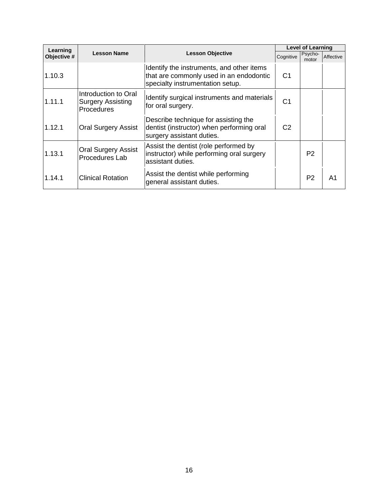| Learning    |                                                                |                                                                                                                          | <b>Level of Learning</b> |                  |           |  |
|-------------|----------------------------------------------------------------|--------------------------------------------------------------------------------------------------------------------------|--------------------------|------------------|-----------|--|
| Objective # | <b>Lesson Name</b>                                             | <b>Lesson Objective</b><br>Cognitive                                                                                     |                          | Psycho-<br>motor | Affective |  |
| 1.10.3      |                                                                | Identify the instruments, and other items<br>that are commonly used in an endodontic<br>specialty instrumentation setup. | C <sub>1</sub>           |                  |           |  |
| 1.11.1      | Introduction to Oral<br><b>Surgery Assisting</b><br>Procedures | Identify surgical instruments and materials<br>for oral surgery.                                                         | C1                       |                  |           |  |
| 1.12.1      | <b>Oral Surgery Assist</b>                                     | Describe technique for assisting the<br>dentist (instructor) when performing oral<br>surgery assistant duties.           | C <sub>2</sub>           |                  |           |  |
| 1.13.1      | <b>Oral Surgery Assist</b><br>Procedures Lab                   | Assist the dentist (role performed by<br>instructor) while performing oral surgery<br>assistant duties.                  |                          | P <sub>2</sub>   |           |  |
| 1.14.1      | <b>Clinical Rotation</b>                                       | Assist the dentist while performing<br>general assistant duties.                                                         |                          | P <sub>2</sub>   | Α1        |  |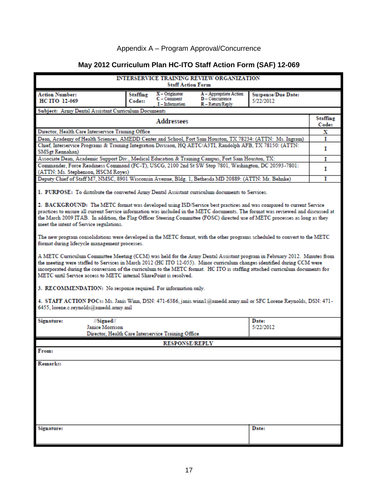### Appendix A – Program Approval/Concurrence

| INTERSERVICE TRAINING REVIEW ORGANIZATION<br><b>Staff Action Form</b>                                                                                                                                                                                                                                                                                                                                                                                                                                                                                                                                                                                                                                                                                                                                                                                                                                                                                                                                                                                                                                                                                                                                                                                                                                                                                                 |                 |  |  |  |  |  |  |
|-----------------------------------------------------------------------------------------------------------------------------------------------------------------------------------------------------------------------------------------------------------------------------------------------------------------------------------------------------------------------------------------------------------------------------------------------------------------------------------------------------------------------------------------------------------------------------------------------------------------------------------------------------------------------------------------------------------------------------------------------------------------------------------------------------------------------------------------------------------------------------------------------------------------------------------------------------------------------------------------------------------------------------------------------------------------------------------------------------------------------------------------------------------------------------------------------------------------------------------------------------------------------------------------------------------------------------------------------------------------------|-----------------|--|--|--|--|--|--|
| $X -$ Originator<br><b>Action Number:</b><br>A - Appropriate Action<br><b>Suspense/Due Date:</b><br>Staffing                                                                                                                                                                                                                                                                                                                                                                                                                                                                                                                                                                                                                                                                                                                                                                                                                                                                                                                                                                                                                                                                                                                                                                                                                                                          |                 |  |  |  |  |  |  |
| $C - Comment$<br>D - Concurrence<br>HC ITO 12-069<br>5/22/2012<br>Codes:<br><b>T</b> -Information<br>R - Return/Reply                                                                                                                                                                                                                                                                                                                                                                                                                                                                                                                                                                                                                                                                                                                                                                                                                                                                                                                                                                                                                                                                                                                                                                                                                                                 |                 |  |  |  |  |  |  |
| Subject: Army Dental Assistant Curriculum Documents                                                                                                                                                                                                                                                                                                                                                                                                                                                                                                                                                                                                                                                                                                                                                                                                                                                                                                                                                                                                                                                                                                                                                                                                                                                                                                                   |                 |  |  |  |  |  |  |
|                                                                                                                                                                                                                                                                                                                                                                                                                                                                                                                                                                                                                                                                                                                                                                                                                                                                                                                                                                                                                                                                                                                                                                                                                                                                                                                                                                       | <b>Staffing</b> |  |  |  |  |  |  |
| <b>Addressees</b>                                                                                                                                                                                                                                                                                                                                                                                                                                                                                                                                                                                                                                                                                                                                                                                                                                                                                                                                                                                                                                                                                                                                                                                                                                                                                                                                                     | Codes           |  |  |  |  |  |  |
| Director, Health Care Interservice Training Office                                                                                                                                                                                                                                                                                                                                                                                                                                                                                                                                                                                                                                                                                                                                                                                                                                                                                                                                                                                                                                                                                                                                                                                                                                                                                                                    | х               |  |  |  |  |  |  |
| Dean, Academy of Health Sciences, AMEDD Center and School, Fort Sam Houston, TX 78234: (ATTN: Ms. Ingram)                                                                                                                                                                                                                                                                                                                                                                                                                                                                                                                                                                                                                                                                                                                                                                                                                                                                                                                                                                                                                                                                                                                                                                                                                                                             | 1               |  |  |  |  |  |  |
| Chief, Interservice Programs & Training Integration Division, HQ AETC/A3TI, Randolph AFB, TX 78150: (ATTN:<br>SMSgt Rennahan)                                                                                                                                                                                                                                                                                                                                                                                                                                                                                                                                                                                                                                                                                                                                                                                                                                                                                                                                                                                                                                                                                                                                                                                                                                         | Т               |  |  |  |  |  |  |
| Associate Dean, Academic Support Div., Medical Education & Training Campus, Fort Sam Houston, TX:                                                                                                                                                                                                                                                                                                                                                                                                                                                                                                                                                                                                                                                                                                                                                                                                                                                                                                                                                                                                                                                                                                                                                                                                                                                                     | 1               |  |  |  |  |  |  |
| Commander, Force Readiness Command (FC-T), USCG, 2100 2nd St SW Stop 7801, Washington, DC 20593-7801:                                                                                                                                                                                                                                                                                                                                                                                                                                                                                                                                                                                                                                                                                                                                                                                                                                                                                                                                                                                                                                                                                                                                                                                                                                                                 |                 |  |  |  |  |  |  |
| (ATTN: Ms. Stephenson, HSCM Royes)                                                                                                                                                                                                                                                                                                                                                                                                                                                                                                                                                                                                                                                                                                                                                                                                                                                                                                                                                                                                                                                                                                                                                                                                                                                                                                                                    | Т               |  |  |  |  |  |  |
| Deputy Chief of Staff M7, NMSC, 8901 Wisconsin Avenue, Bldg. 1, Bethesda MD 20889: (ATTN: Mr. Behnke)                                                                                                                                                                                                                                                                                                                                                                                                                                                                                                                                                                                                                                                                                                                                                                                                                                                                                                                                                                                                                                                                                                                                                                                                                                                                 | т               |  |  |  |  |  |  |
| 1. PURPOSE: To distribute the converted Army Dental Assistant curriculum documents to Services.<br>2. BACKGROUND: The METC format was developed using ISD/Service best practices and was compared to current Service<br>practices to ensure all current Service information was included in the METC documents. The format was reviewed and discussed at<br>the March 2009 ITAB. In addition, the Flag Officer Steering Committee (FOSC) directed use of METC processes as long as they<br>meet the intent of Service regulations.<br>The new program consolidations were developed in the METC format, with the other programs scheduled to convert to the METC<br>format during lifecycle management processes.<br>A METC Curriculum Committee Meeting (CCM) was held for the Army Dental Assistant program in February 2012. Minutes from<br>the meeting were staffed to Services in March 2012 (HC ITO 12-055). Minor curriculum changes identified during CCM were<br>incorporated during the conversion of the curriculum to the METC format. HC ITO is staffing attached curriculum documents for<br>METC until Service access to METC internal SharePoint is resolved.<br>3. RECOMMENDATION: No response required. For information only.<br>4. STAFF ACTION POCs: Ms. Janis Winn, DSN: 471-6386, janis.winn1@amedd.army.mil or SFC Lorene Reynolds, DSN: 471- |                 |  |  |  |  |  |  |
| <b>Signature:</b><br>//Signed//<br>Date:                                                                                                                                                                                                                                                                                                                                                                                                                                                                                                                                                                                                                                                                                                                                                                                                                                                                                                                                                                                                                                                                                                                                                                                                                                                                                                                              |                 |  |  |  |  |  |  |
| Janice Morrison<br>5/22/2012                                                                                                                                                                                                                                                                                                                                                                                                                                                                                                                                                                                                                                                                                                                                                                                                                                                                                                                                                                                                                                                                                                                                                                                                                                                                                                                                          |                 |  |  |  |  |  |  |
| Director, Health Care Interservice Training Office                                                                                                                                                                                                                                                                                                                                                                                                                                                                                                                                                                                                                                                                                                                                                                                                                                                                                                                                                                                                                                                                                                                                                                                                                                                                                                                    |                 |  |  |  |  |  |  |
| <b>RESPONSE/REPLY</b>                                                                                                                                                                                                                                                                                                                                                                                                                                                                                                                                                                                                                                                                                                                                                                                                                                                                                                                                                                                                                                                                                                                                                                                                                                                                                                                                                 |                 |  |  |  |  |  |  |
| From:                                                                                                                                                                                                                                                                                                                                                                                                                                                                                                                                                                                                                                                                                                                                                                                                                                                                                                                                                                                                                                                                                                                                                                                                                                                                                                                                                                 |                 |  |  |  |  |  |  |
| <b>Remarks:</b>                                                                                                                                                                                                                                                                                                                                                                                                                                                                                                                                                                                                                                                                                                                                                                                                                                                                                                                                                                                                                                                                                                                                                                                                                                                                                                                                                       |                 |  |  |  |  |  |  |
|                                                                                                                                                                                                                                                                                                                                                                                                                                                                                                                                                                                                                                                                                                                                                                                                                                                                                                                                                                                                                                                                                                                                                                                                                                                                                                                                                                       |                 |  |  |  |  |  |  |
|                                                                                                                                                                                                                                                                                                                                                                                                                                                                                                                                                                                                                                                                                                                                                                                                                                                                                                                                                                                                                                                                                                                                                                                                                                                                                                                                                                       |                 |  |  |  |  |  |  |
|                                                                                                                                                                                                                                                                                                                                                                                                                                                                                                                                                                                                                                                                                                                                                                                                                                                                                                                                                                                                                                                                                                                                                                                                                                                                                                                                                                       |                 |  |  |  |  |  |  |
|                                                                                                                                                                                                                                                                                                                                                                                                                                                                                                                                                                                                                                                                                                                                                                                                                                                                                                                                                                                                                                                                                                                                                                                                                                                                                                                                                                       |                 |  |  |  |  |  |  |
|                                                                                                                                                                                                                                                                                                                                                                                                                                                                                                                                                                                                                                                                                                                                                                                                                                                                                                                                                                                                                                                                                                                                                                                                                                                                                                                                                                       |                 |  |  |  |  |  |  |
|                                                                                                                                                                                                                                                                                                                                                                                                                                                                                                                                                                                                                                                                                                                                                                                                                                                                                                                                                                                                                                                                                                                                                                                                                                                                                                                                                                       |                 |  |  |  |  |  |  |
|                                                                                                                                                                                                                                                                                                                                                                                                                                                                                                                                                                                                                                                                                                                                                                                                                                                                                                                                                                                                                                                                                                                                                                                                                                                                                                                                                                       |                 |  |  |  |  |  |  |
| Signature:<br>Date:                                                                                                                                                                                                                                                                                                                                                                                                                                                                                                                                                                                                                                                                                                                                                                                                                                                                                                                                                                                                                                                                                                                                                                                                                                                                                                                                                   |                 |  |  |  |  |  |  |
|                                                                                                                                                                                                                                                                                                                                                                                                                                                                                                                                                                                                                                                                                                                                                                                                                                                                                                                                                                                                                                                                                                                                                                                                                                                                                                                                                                       |                 |  |  |  |  |  |  |

# **May 2012 Curriculum Plan HC-ITO Staff Action Form (SAF) 12-069**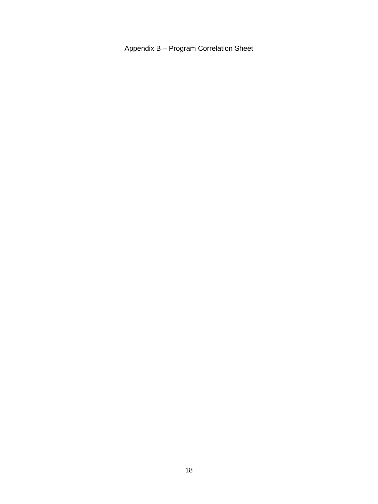Appendix B – Program Correlation Sheet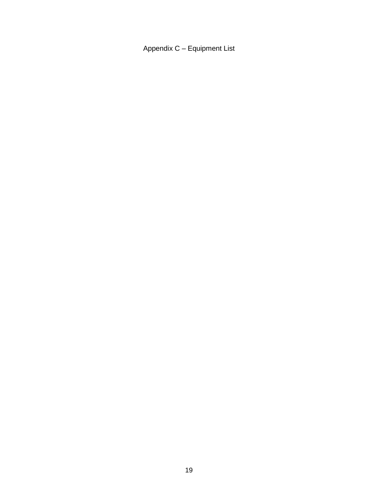Appendix C – Equipment List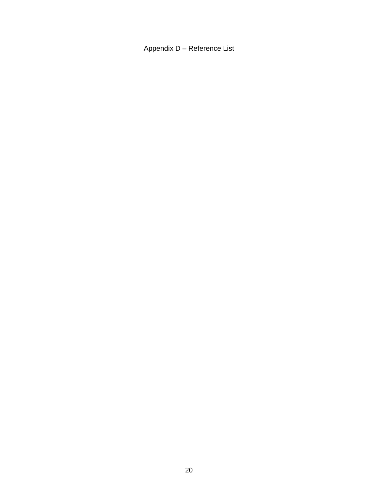Appendix D – Reference List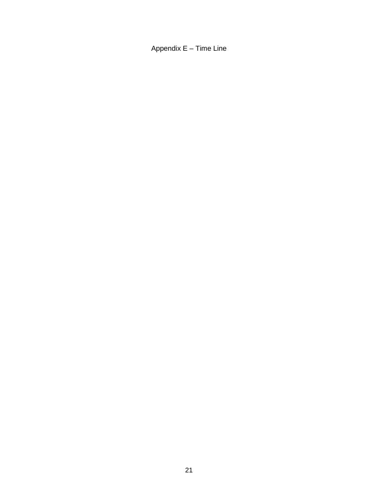Appendix E – Time Line